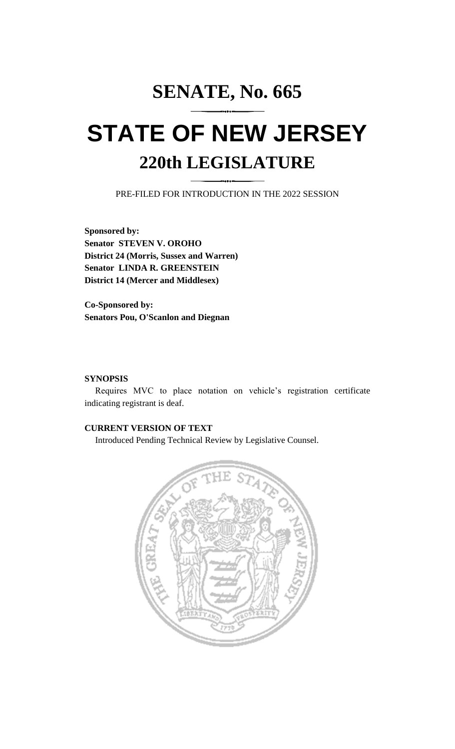# **SENATE, No. 665 STATE OF NEW JERSEY**

# **220th LEGISLATURE**

PRE-FILED FOR INTRODUCTION IN THE 2022 SESSION

**Sponsored by: Senator STEVEN V. OROHO District 24 (Morris, Sussex and Warren) Senator LINDA R. GREENSTEIN District 14 (Mercer and Middlesex)**

**Co-Sponsored by: Senators Pou, O'Scanlon and Diegnan**

#### **SYNOPSIS**

Requires MVC to place notation on vehicle's registration certificate indicating registrant is deaf.

### **CURRENT VERSION OF TEXT**

Introduced Pending Technical Review by Legislative Counsel.

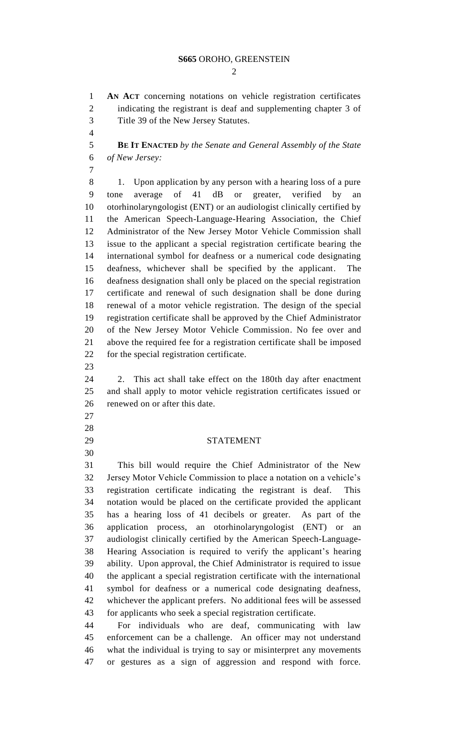#### **S665** OROHO, GREENSTEIN

 $\mathcal{D}_{\mathcal{L}}$ 

 **AN ACT** concerning notations on vehicle registration certificates indicating the registrant is deaf and supplementing chapter 3 of Title 39 of the New Jersey Statutes.

 **BE IT ENACTED** *by the Senate and General Assembly of the State of New Jersey:*

 1. Upon application by any person with a hearing loss of a pure 9 tone average of dB or greater, verified by otorhinolaryngologist (ENT) or an audiologist clinically certified by the American Speech-Language-Hearing Association, the Chief Administrator of the New Jersey Motor Vehicle Commission shall issue to the applicant a special registration certificate bearing the international symbol for deafness or a numerical code designating deafness, whichever shall be specified by the applicant. The deafness designation shall only be placed on the special registration certificate and renewal of such designation shall be done during renewal of a motor vehicle registration. The design of the special registration certificate shall be approved by the Chief Administrator of the New Jersey Motor Vehicle Commission. No fee over and above the required fee for a registration certificate shall be imposed for the special registration certificate.

 2. This act shall take effect on the 180th day after enactment and shall apply to motor vehicle registration certificates issued or renewed on or after this date.

- 
- 
- 

## STATEMENT

 This bill would require the Chief Administrator of the New Jersey Motor Vehicle Commission to place a notation on a vehicle's registration certificate indicating the registrant is deaf. This notation would be placed on the certificate provided the applicant has a hearing loss of 41 decibels or greater. As part of the application process, an otorhinolaryngologist (ENT) or an audiologist clinically certified by the American Speech-Language- Hearing Association is required to verify the applicant's hearing ability. Upon approval, the Chief Administrator is required to issue the applicant a special registration certificate with the international symbol for deafness or a numerical code designating deafness, whichever the applicant prefers. No additional fees will be assessed for applicants who seek a special registration certificate.

 For individuals who are deaf, communicating with law enforcement can be a challenge. An officer may not understand what the individual is trying to say or misinterpret any movements or gestures as a sign of aggression and respond with force.